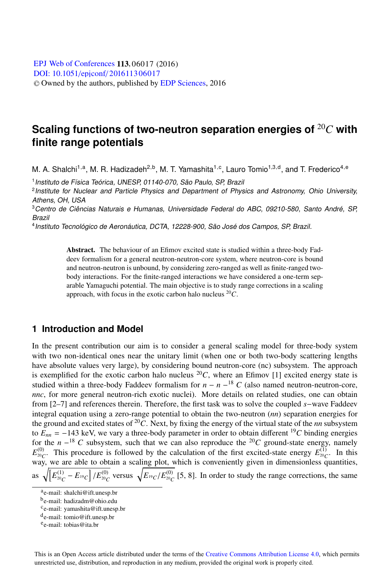[DOI: 10.1051](http://dx.doi.org/10.1051/epjconf/201611306017)/epjconf/201611306017 © Owned by the authors, published by [EDP Sciences,](http://www.edpsciences.org) 2016 **EPJ** Web of [Conferences](http://www.epj-conferences.org) **113**, 06017 (2016)

# **Scaling functions of two-neutron separation energies of** <sup>20</sup>*C* **with finite range potentials**

M. A. Shalchi<sup>1,a</sup>, M. R. Hadizadeh<sup>2,b</sup>, M. T. Yamashita<sup>1,c</sup>, Lauro Tomio<sup>1,3,d</sup>, and T. Frederico<sup>4,e</sup>

<sup>1</sup> Instituto de Física Teórica, UNESP, 01140-070, São Paulo, SP, Brazil

<sup>2</sup> Institute for Nuclear and Particle Physics and Department of Physics and Astronomy, Ohio University, Athens, OH, USA

<sup>3</sup>Centro de Ciências Naturais e Humanas, Universidade Federal do ABC, 09210-580, Santo André, SP, Brazil

<sup>4</sup>Instituto Tecnológico de Aeronáutica, DCTA, 12228-900, São José dos Campos, SP, Brazil.

Abstract. The behaviour of an Efimov excited state is studied within a three-body Faddeev formalism for a general neutron-neutron-core system, where neutron-core is bound and neutron-neutron is unbound, by considering zero-ranged as well as finite-ranged twobody interactions. For the finite-ranged interactions we have considered a one-term separable Yamaguchi potential. The main objective is to study range corrections in a scaling approach, with focus in the exotic carbon halo nucleus <sup>20</sup>*C*.

# **1 Introduction and Model**

In the present contribution our aim is to consider a general scaling model for three-body system with two non-identical ones near the unitary limit (when one or both two-body scattering lengths have absolute values very large), by considering bound neutron-core (nc) subsystem. The approach is exemplified for the exotic carbon halo nucleus  ${}^{20}C$ , where an Efimov [1] excited energy state is studied within a three-body Faddeev formalism for  $n - n - 18$  *C* (also named neutron-neutron-core, *nnc*, for more general neutron-rich exotic nuclei). More details on related studies, one can obtain from [2–7] and references therein. Therefore, the first task was to solve the coupled *<sup>s</sup>*−wave Faddeev integral equation using a zero-range potential to obtain the two-neutron (*nn*) separation energies for the ground and excited states of <sup>20</sup>*C*. Next, by fixing the energy of the virtual state of the *nn* subsystem to  $E_{nn} = -143$  keV, we vary a three-body parameter in order to obtain different <sup>19</sup>C binding energies for the  $n-18$  C subsystem, such that we can also reproduce the <sup>20</sup>C ground-state energy, namely  $E_{20_{C}}^{(0)}$ . This procedure is followed by the calculation of the first excited-state energy  $E_{20_{C}}^{(1)}$ . In this way, we are able to obtain a scaling plot, which is conveniently given in dimensionless quantities, as  $\sqrt{\left[E_{20}^{(1)}-E_{19}c\right]/E_{20}^{(0)}}$  versus  $\sqrt{E_{19}C/E_{20}^{(0)}}$  [5, 8]. In order to study the range corrections, the same

This is an Open Access article distributed under the terms of the Creative Commons Attribution License 4.0, which permits unrestricted use, distribution, and reproduction in any medium, provided the original work is properly cited.

ae-mail: shalchi@ift.unesp.br

be-mail: hadizadm@ohio.edu

 $c_{e-mail:}$  yamashita@ift.unesp.br

de-mail: tomio@ift.unesp.br

ee-mail: tobias@ita.br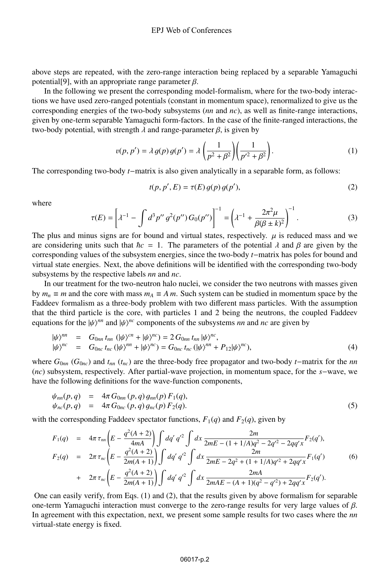above steps are repeated, with the zero-range interaction being replaced by a separable Yamaguchi potential[9], with an appropriate range parameter  $\beta$ .

In the following we present the corresponding model-formalism, where for the two-body interactions we have used zero-ranged potentials (constant in momentum space), renormalized to give us the corresponding energies of the two-body subsystems (*nn* and *nc*), as well as finite-range interactions, given by one-term separable Yamaguchi form-factors. In the case of the finite-ranged interactions, the two-body potential, with strength  $λ$  and range-parameter  $β$ , is given by

$$
v(p, p') = \lambda g(p) g(p') = \lambda \left(\frac{1}{p^2 + \beta^2}\right) \left(\frac{1}{p'^2 + \beta^2}\right).
$$
 (1)

The corresponding two-body *<sup>t</sup>*−matrix is also given analytically in a separable form, as follows:

$$
t(p, p', E) = \tau(E) g(p) g(p'), \qquad (2)
$$

where

$$
\tau(E) = \left[ \lambda^{-1} - \int d^3 p'' \, g^2(p'') G_0(p'') \right]^{-1} = \left( \lambda^{-1} + \frac{2\pi^2 \mu}{\beta(\beta \pm k)^2} \right)^{-1} . \tag{3}
$$

The plus and minus signs are for bound and virtual states, respectively.  $\mu$  is reduced mass and we are considering units such that  $\hbar c = 1$ . The parameters of the potential d and  $\beta$  are given by the are considering units such that  $\hbar c = 1$ . The parameters of the potential  $\lambda$  and  $\beta$  are given by the corresponding values of the subsystem energies since the two-body *t*-matrix has poles for bound and corresponding values of the subsystem energies, since the two-body *<sup>t</sup>*−matrix has poles for bound and virtual state energies. Next, the above definitions will be identified with the corresponding two-body subsystems by the respective labels *nn* and *nc*.

In our treatment for the two-neutron halo nuclei, we consider the two neutrons with masses given by  $m_n \equiv m$  and the core with mass  $m_A \equiv Am$ . Such system can be studied in momentum space by the Faddeev formalism as a three-body problem with two different mass particles. With the assumption that the third particle is the core, with particles 1 and 2 being the neutrons, the coupled Faddeev equations for the  $|\psi\rangle^{nn}$  and  $|\psi\rangle^{nc}$  components of the subsystems *nn* and *nc* are given by

$$
|\psi\rangle^{nn} = G_{0nn} t_{nn} (|\psi\rangle^{cn} + |\psi\rangle^{nc}) = 2 G_{0nn} t_{nn} |\psi\rangle^{nc},
$$
  

$$
|\psi\rangle^{nc} = G_{0nc} t_{nc} (|\psi\rangle^{nn} + |\psi\rangle^{nc}) = G_{0nc} t_{nc} (|\psi\rangle^{nn} + P_{12} |\psi\rangle^{nc}),
$$
 (4)

where *<sup>G</sup>*0*nn* (*G*0*nc*) and *tnn* (*tnc*) are the three-body free propagator and two-body *<sup>t</sup>*−matrix for the *nn* (*nc*) subsystem, respectively. After partial-wave projection, in momentum space, for the *<sup>s</sup>*−wave, we have the following definitions for the wave-function components,

$$
\psi_{nn}(p,q) = 4\pi G_{0nn}(p,q) g_{nn}(p) F_1(q), \n\psi_{nc}(p,q) = 4\pi G_{0nc}(p,q) g_{nc}(p) F_2(q).
$$
\n(5)

with the corresponding Faddeev spectator functions,  $F_1(q)$  and  $F_2(q)$ , given by

$$
F_1(q) = 4\pi \tau_{nn} \left( E - \frac{q^2(A+2)}{4mA} \right) \int dq' \, q'^2 \int dx \, \frac{2m}{2mE - (1+1/A)q^2 - 2q'^2 - 2qq'x} F_2(q'),
$$
  
\n
$$
F_2(q) = 2\pi \tau_{nc} \left( E - \frac{q^2(A+2)}{2m(A+1)} \right) \int dq' \, q'^2 \int dx \, \frac{2m}{2mE - 2q^2 + (1+1/A)q'^2 + 2qq'x} F_1(q') \qquad (6)
$$
  
\n
$$
+ 2\pi \tau_{nc} \left( E - \frac{q^2(A+2)}{2m(A+1)} \right) \int dq' \, q'^2 \int dx \, \frac{2mA}{2mAE - (A+1)(q^2 - q'^2) + 2qq'x} F_2(q').
$$

One can easily verify, from Eqs. (1) and (2), that the results given by above formalism for separable one-term Yamaguchi interaction must converge to the zero-range results for very large values of β. In agreement with this expectation, next, we present some sample results for two cases where the *nn* virtual-state energy is fixed.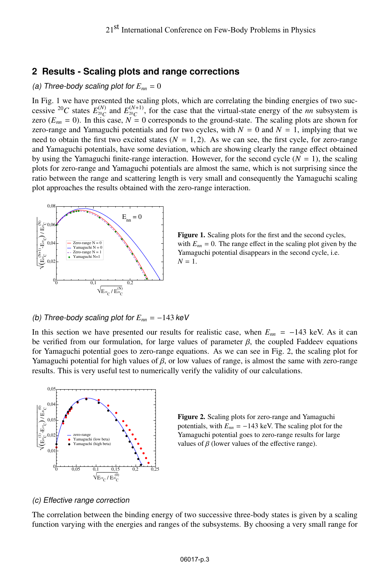# **2 Results - Scaling plots and range corrections**

### (a) Three-body scaling plot for  $E_{nn} = 0$

In Fig. 1 we have presented the scaling plots, which are correlating the binding energies of two successive <sup>20</sup>*C* states  $E_{20}^{(N)}$  and  $E_{20}^{(N+1)}$ , for the case that the virtual-state energy of the *nn* subsystem is zero ( $E_{nn}$  = 0). In this case,  $N = 0$  corresponds to the ground-state. The scaling plots are shown for zero-range and Yamaguchi potentials and for two cycles, with  $N = 0$  and  $N = 1$ , implying that we need to obtain the first two excited states  $(N = 1, 2)$ . As we can see, the first cycle, for zero-range and Yamaguchi potentials, have some deviation, which are showing clearly the range effect obtained by using the Yamaguchi finite-range interaction. However, for the second cycle  $(N = 1)$ , the scaling plots for zero-range and Yamaguchi potentials are almost the same, which is not surprising since the ratio between the range and scattering length is very small and consequently the Yamaguchi scaling plot approaches the results obtained with the zero-range interaction.



Figure 1. Scaling plots for the first and the second cycles, with  $E_{nn} = 0$ . The range effect in the scaling plot given by the Yamaguchi potential disappears in the second cycle, i.e.  $N=1$ .

#### (b) Three-body scaling plot for  $E_{nn} = -143 \text{ keV}$

In this section we have presented our results for realistic case, when *Enn* <sup>=</sup> <sup>−</sup>143 keV. As it can be verified from our formulation, for large values of parameter  $\beta$ , the coupled Faddeev equations for Yamaguchi potential goes to zero-range equations. As we can see in Fig. 2, the scaling plot for Yamaguchi potential for high values of  $\beta$ , or low values of range, is almost the same with zero-range results. This is very useful test to numerically verify the validity of our calculations.



Figure 2. Scaling plots for zero-range and Yamaguchi potentials, with  $E_{nn} = -143$  keV. The scaling plot for the Yamaguchi potential goes to zero-range results for large values of  $\beta$  (lower values of the effective range).

#### (c) Effective range correction

The correlation between the binding energy of two successive three-body states is given by a scaling function varying with the energies and ranges of the subsystems. By choosing a very small range for